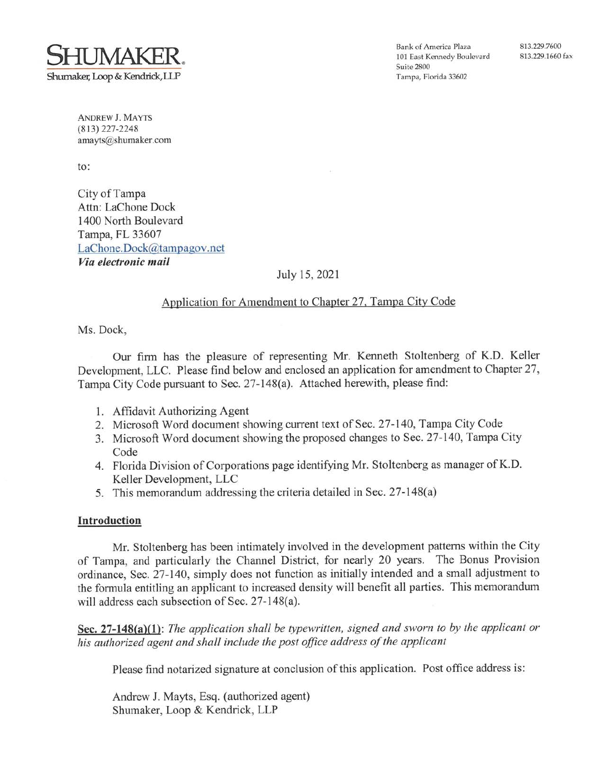

**ANDREW J. MAYTS**  $(813)$  227-2248 amayts@shumaker.com

 $\mathsf{to}:$ 

City of Tampa Attn: LaChone Dock 1400 North Boulevard Tampa, FL 33607 LaChone.Dock@tampagov.net Via electronic mail

# July 15, 2021

# Application for Amendment to Chapter 27, Tampa City Code

Ms. Dock,

Our firm has the pleasure of representing Mr. Kenneth Stoltenberg of K.D. Keller Development, LLC. Please find below and enclosed an application for amendment to Chapter 27, Tampa City Code pursuant to Sec. 27-148(a). Attached herewith, please find:

- 1. Affidavit Authorizing Agent
- 2. Microsoft Word document showing current text of Sec. 27-140, Tampa City Code
- 3. Microsoft Word document showing the proposed changes to Sec. 27-140, Tampa City Code
- 4. Florida Division of Corporations page identifying Mr. Stoltenberg as manager of K.D. Keller Development, LLC
- 5. This memorandum addressing the criteria detailed in Sec. 27-148(a)

## Introduction

Mr. Stoltenberg has been intimately involved in the development patterns within the City of Tampa, and particularly the Channel District, for nearly 20 years. The Bonus Provision ordinance, Sec. 27-140, simply does not function as initially intended and a small adjustment to the formula entitling an applicant to increased density will benefit all parties. This memorandum will address each subsection of Sec. 27-148(a).

Sec.  $27-148(a)(1)$ : The application shall be typewritten, signed and sworn to by the applicant or his authorized agent and shall include the post office address of the applicant

Please find notarized signature at conclusion of this application. Post office address is:

Andrew J. Mayts, Esq. (authorized agent) Shumaker, Loop & Kendrick, LLP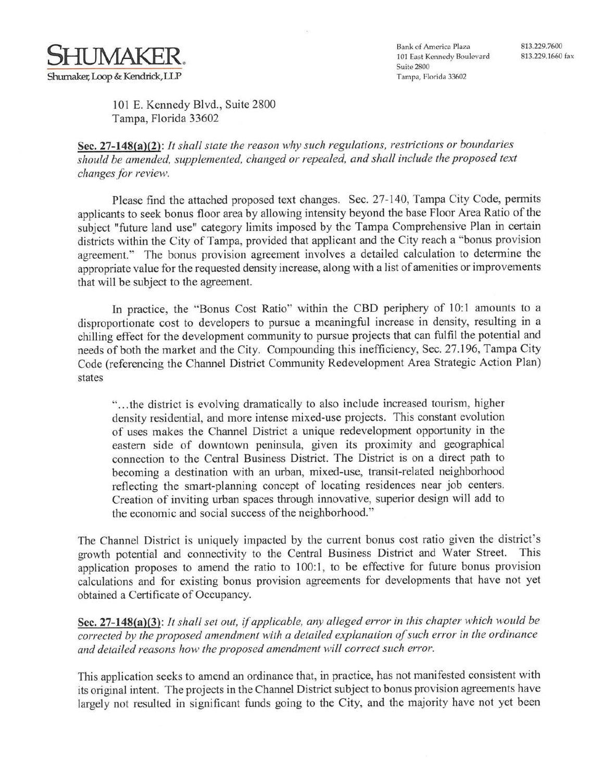

101 E. Kennedy Blvd., Suite 2800 Tampa, Florida 33602

Sec.  $27-148(a)(2)$ : It shall state the reason why such regulations, restrictions or boundaries should be amended, supplemented, changed or repealed, and shall include the proposed text changes for review.

Please find the attached proposed text changes. Sec. 27-140, Tampa City Code, permits applicants to seek bonus floor area by allowing intensity beyond the base Floor Area Ratio of the subject "future land use" category limits imposed by the Tampa Comprehensive Plan in certain districts within the City of Tampa, provided that applicant and the City reach a "bonus provision agreement." The bonus provision agreement involves a detailed calculation to determine the appropriate value for the requested density increase, along with a list of amenities or improvements that will be subject to the agreement.

In practice, the "Bonus Cost Ratio" within the CBD periphery of 10:1 amounts to a disproportionate cost to developers to pursue a meaningful increase in density, resulting in a chilling effect for the development community to pursue projects that can fulfil the potential and needs of both the market and the City. Compounding this inefficiency, Sec. 27.196, Tampa City Code (referencing the Channel District Community Redevelopment Area Strategic Action Plan) states

"...the district is evolving dramatically to also include increased tourism, higher density residential, and more intense mixed-use projects. This constant evolution of uses makes the Channel District a unique redevelopment opportunity in the eastern side of downtown peninsula, given its proximity and geographical connection to the Central Business District. The District is on a direct path to becoming a destination with an urban, mixed-use, transit-related neighborhood reflecting the smart-planning concept of locating residences near job centers. Creation of inviting urban spaces through innovative, superior design will add to the economic and social success of the neighborhood."

The Channel District is uniquely impacted by the current bonus cost ratio given the district's growth potential and connectivity to the Central Business District and Water Street. This application proposes to amend the ratio to 100:1, to be effective for future bonus provision calculations and for existing bonus provision agreements for developments that have not yet obtained a Certificate of Occupancy.

Sec. 27-148(a)(3): It shall set out, if applicable, any alleged error in this chapter which would be corrected by the proposed amendment with a detailed explanation of such error in the ordinance and detailed reasons how the proposed amendment will correct such error.

This application seeks to amend an ordinance that, in practice, has not manifested consistent with its original intent. The projects in the Channel District subject to bonus provision agreements have largely not resulted in significant funds going to the City, and the majority have not yet been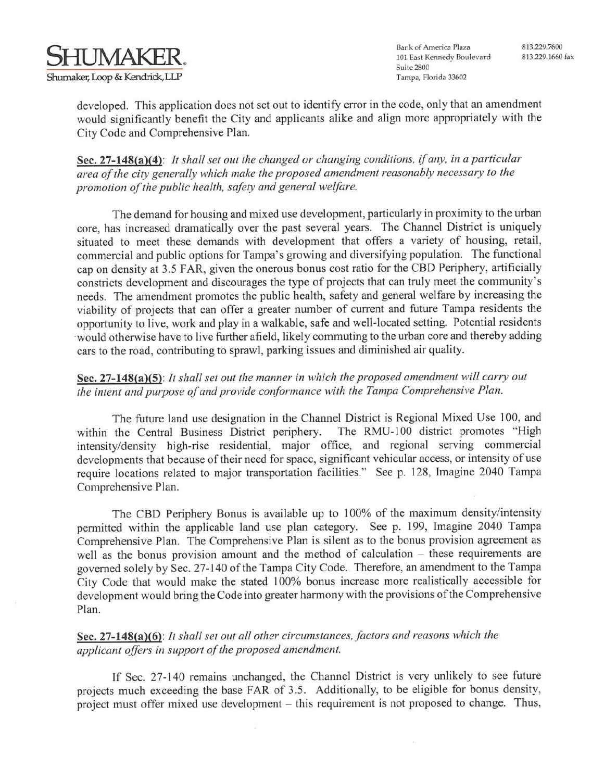

developed. This application does not set out to identify error in the code, only that an amendment would significantly benefit the City and applicants alike and align more appropriately with the City Code and Comprehensive Plan.

Sec. 27-148(a)(4): It shall set out the changed or changing conditions, if any, in a particular area of the city generally which make the proposed amendment reasonably necessary to the promotion of the public health, safety and general welfare.

The demand for housing and mixed use development, particularly in proximity to the urban core, has increased dramatically over the past several years. The Channel District is uniquely situated to meet these demands with development that offers a variety of housing, retail, commercial and public options for Tampa's growing and diversifying population. The functional cap on density at 3.5 FAR, given the onerous bonus cost ratio for the CBD Periphery, artificially constricts development and discourages the type of projects that can truly meet the community's needs. The amendment promotes the public health, safety and general welfare by increasing the viability of projects that can offer a greater number of current and future Tampa residents the opportunity to live, work and play in a walkable, safe and well-located setting. Potential residents would otherwise have to live further afield, likely commuting to the urban core and thereby adding cars to the road, contributing to sprawl, parking issues and diminished air quality.

# Sec. 27-148(a)(5): It shall set out the manner in which the proposed amendment will carry out the intent and purpose of and provide conformance with the Tampa Comprehensive Plan.

The future land use designation in the Channel District is Regional Mixed Use 100, and The RMU-100 district promotes "High within the Central Business District periphery. intensity/density high-rise residential, major office, and regional serving commercial developments that because of their need for space, significant vehicular access, or intensity of use require locations related to major transportation facilities." See p. 128, Imagine 2040 Tampa Comprehensive Plan.

The CBD Periphery Bonus is available up to 100% of the maximum density/intensity permitted within the applicable land use plan category. See p. 199, Imagine 2040 Tampa Comprehensive Plan. The Comprehensive Plan is silent as to the bonus provision agreement as well as the bonus provision amount and the method of calculation - these requirements are governed solely by Sec. 27-140 of the Tampa City Code. Therefore, an amendment to the Tampa City Code that would make the stated 100% bonus increase more realistically accessible for development would bring the Code into greater harmony with the provisions of the Comprehensive Plan.

Sec. 27-148(a)(6): It shall set out all other circumstances, factors and reasons which the applicant offers in support of the proposed amendment.

If Sec. 27-140 remains unchanged, the Channel District is very unlikely to see future projects much exceeding the base FAR of 3.5. Additionally, to be eligible for bonus density, project must offer mixed use development – this requirement is not proposed to change. Thus,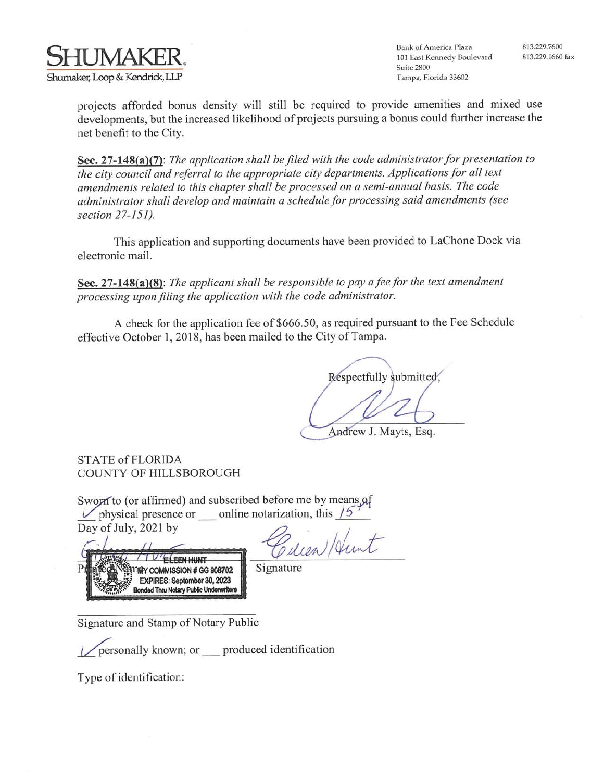

projects afforded bonus density will still be required to provide amenities and mixed use developments, but the increased likelihood of projects pursuing a bonus could further increase the net benefit to the City.

Sec. 27-148(a)(7): The application shall be filed with the code administrator for presentation to the city council and referral to the appropriate city departments. Applications for all text amendments related to this chapter shall be processed on a semi-annual basis. The code administrator shall develop and maintain a schedule for processing said amendments (see section 27-151).

This application and supporting documents have been provided to LaChone Dock via electronic mail.

Sec. 27-148(a)(8): The applicant shall be responsible to pay a fee for the text amendment processing upon filing the application with the code administrator.

A check for the application fee of \$666.50, as required pursuant to the Fee Schedule effective October 1, 2018, has been mailed to the City of Tampa.

Respectfully submitted.

Andrew J. Mayts, Esq.

**STATE of FLORIDA COUNTY OF HILLSBOROUGH** 

Sworn to (or affirmed) and subscribed before me by means of  $\nu$  physical presence or online notarization, this /5 Day of July, 2021 by Cilien Hunt

EILEEN HUNT TIRY COMMISSION # GG 908702 EXPIRES: September 30, 2023 Bonded Thru Notary Public Underwriter

Signature

Signature and Stamp of Notary Public

personally known; or produced identification

Type of identification: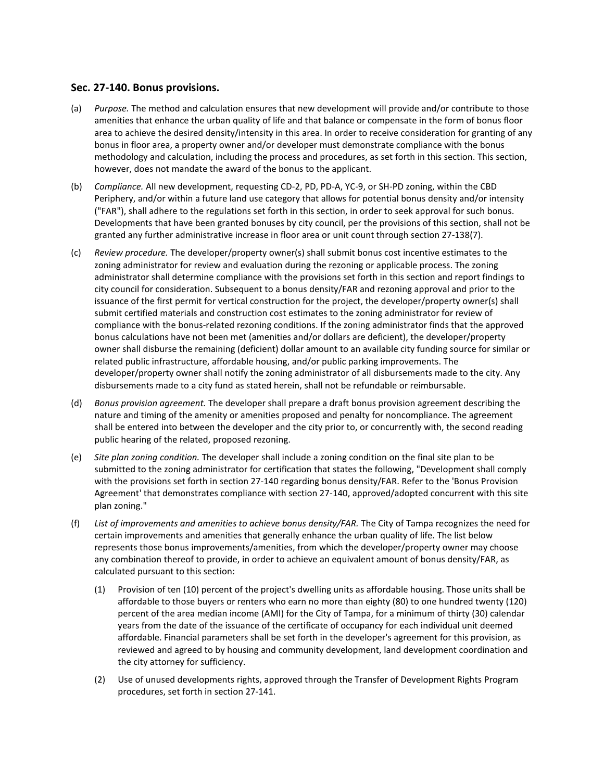## **Sec. 27-140. Bonus provisions.**

- (a) *Purpose.* The method and calculation ensures that new development will provide and/or contribute to those however, does not mandate the award of the bonus to the applicant. amenities that enhance the urban quality of life and that balance or compensate in the form of bonus floor area to achieve the desired density/intensity in this area. In order to receive consideration for granting of any bonus in floor area, a property owner and/or developer must demonstrate compliance with the bonus methodology and calculation, including the process and procedures, as set forth in this section. This section,
- (b) *Compliance.* All new development, requesting CD-2, PD, PD-A, YC-9, or SH-PD zoning, within the CBD Periphery, and/or within a future land use category that allows for potential bonus density and/or intensity ("FAR"), shall adhere to the regulations set forth in this section, in order to seek approval for such bonus. Developments that have been granted bonuses by city council, per the provisions of this section, shall not be granted any further administrative increase in floor area or unit count through section 27-138(7).
- (c) *Review procedure.* The developer/property owner(s) shall submit bonus cost incentive estimates to the zoning administrator for review and evaluation during the rezoning or applicable process. The zoning administrator shall determine compliance with the provisions set forth in this section and report findings to city council for consideration. Subsequent to a bonus density/FAR and rezoning approval and prior to the issuance of the first permit for vertical construction for the project, the developer/property owner(s) shall submit certified materials and construction cost estimates to the zoning administrator for review of compliance with the bonus-related rezoning conditions. If the zoning administrator finds that the approved bonus calculations have not been met (amenities and/or dollars are deficient), the developer/property owner shall disburse the remaining (deficient) dollar amount to an available city funding source for similar or related public infrastructure, affordable housing, and/or public parking improvements. The developer/property owner shall notify the zoning administrator of all disbursements made to the city. Any disbursements made to a city fund as stated herein, shall not be refundable or reimbursable.
- (d) *Bonus provision agreement.* The developer shall prepare a draft bonus provision agreement describing the nature and timing of the amenity or amenities proposed and penalty for noncompliance. The agreement shall be entered into between the developer and the city prior to, or concurrently with, the second reading public hearing of the related, proposed rezoning.
- (e) *Site plan zoning condition.* The developer shall include a zoning condition on the final site plan to be submitted to the zoning administrator for certification that states the following, "Development shall comply with the provisions set forth in section 27-140 regarding bonus density/FAR. Refer to the 'Bonus Provision Agreement' that demonstrates compliance with section 27-140, approved/adopted concurrent with this site plan zoning."
- (f) *List of improvements and amenities to achieve bonus density/FAR.* The City of Tampa recognizes the need for certain improvements and amenities that generally enhance the urban quality of life. The list below represents those bonus improvements/amenities, from which the developer/property owner may choose any combination thereof to provide, in order to achieve an equivalent amount of bonus density/FAR, as calculated pursuant to this section:
	- (1) Provision of ten (10) percent of the project's dwelling units as affordable housing. Those units shall be affordable to those buyers or renters who earn no more than eighty (80) to one hundred twenty (120) percent of the area median income (AMI) for the City of Tampa, for a minimum of thirty (30) calendar years from the date of the issuance of the certificate of occupancy for each individual unit deemed affordable. Financial parameters shall be set forth in the developer's agreement for this provision, as reviewed and agreed to by housing and community development, land development coordination and the city attorney for sufficiency.
	- (2) Use of unused developments rights, approved through the Transfer of Development Rights Program procedures, set forth in section 27-141.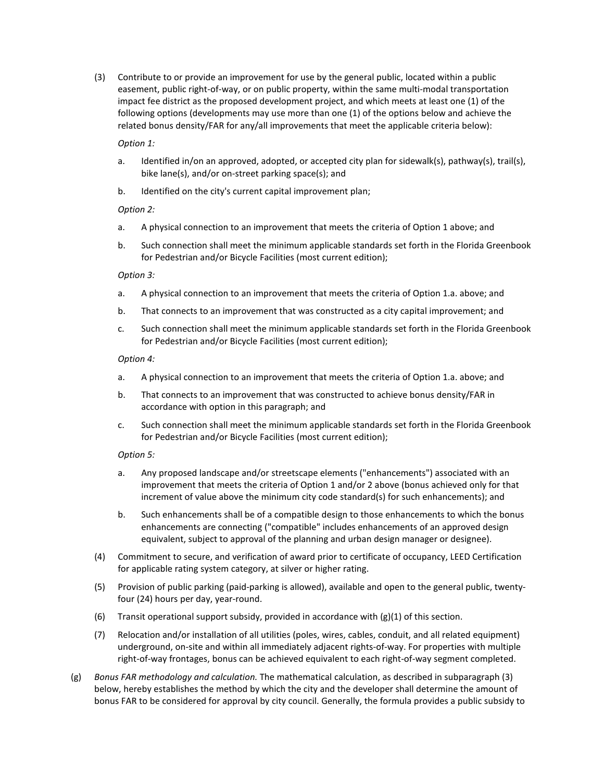(3) Contribute to or provide an improvement for use by the general public, located within a public easement, public right-of-way, or on public property, within the same multi-modal transportation impact fee district as the proposed development project, and which meets at least one (1) of the following options (developments may use more than one (1) of the options below and achieve the related bonus density/FAR for any/all improvements that meet the applicable criteria below):

#### *Option 1:*

- a. Identified in/on an approved, adopted, or accepted city plan for sidewalk(s), pathway(s), trail(s), bike lane(s), and/or on-street parking space(s); and
- b. Identified on the city's current capital improvement plan;

#### *Option 2:*

- a. A physical connection to an improvement that meets the criteria of Option 1 above; and
- b. Such connection shall meet the minimum applicable standards set forth in the Florida Greenbook for Pedestrian and/or Bicycle Facilities (most current edition);

#### *Option 3:*

- a. A physical connection to an improvement that meets the criteria of Option 1.a. above; and
- b. That connects to an improvement that was constructed as a city capital improvement; and
- c. Such connection shall meet the minimum applicable standards set forth in the Florida Greenbook for Pedestrian and/or Bicycle Facilities (most current edition);

#### *Option 4:*

- a. A physical connection to an improvement that meets the criteria of Option 1.a. above; and
- b. That connects to an improvement that was constructed to achieve bonus density/FAR in accordance with option in this paragraph; and
- c. Such connection shall meet the minimum applicable standards set forth in the Florida Greenbook for Pedestrian and/or Bicycle Facilities (most current edition);

### *Option 5:*

- a. Any proposed landscape and/or streetscape elements ("enhancements") associated with an improvement that meets the criteria of Option 1 and/or 2 above (bonus achieved only for that increment of value above the minimum city code standard(s) for such enhancements); and
- b. Such enhancements shall be of a compatible design to those enhancements to which the bonus enhancements are connecting ("compatible" includes enhancements of an approved design equivalent, subject to approval of the planning and urban design manager or designee).
- (4) Commitment to secure, and verification of award prior to certificate of occupancy, LEED Certification for applicable rating system category, at silver or higher rating.
- (5) Provision of public parking (paid-parking is allowed), available and open to the general public, twentyfour (24) hours per day, year-round.
- (6) Transit operational support subsidy, provided in accordance with  $(g)(1)$  of this section.
- (7) Relocation and/or installation of all utilities (poles, wires, cables, conduit, and all related equipment) underground, on-site and within all immediately adjacent rights-of-way. For properties with multiple right-of-way frontages, bonus can be achieved equivalent to each right-of-way segment completed.
- (g) *Bonus FAR methodology and calculation.* The mathematical calculation, as described in subparagraph (3) below, hereby establishes the method by which the city and the developer shall determine the amount of bonus FAR to be considered for approval by city council. Generally, the formula provides a public subsidy to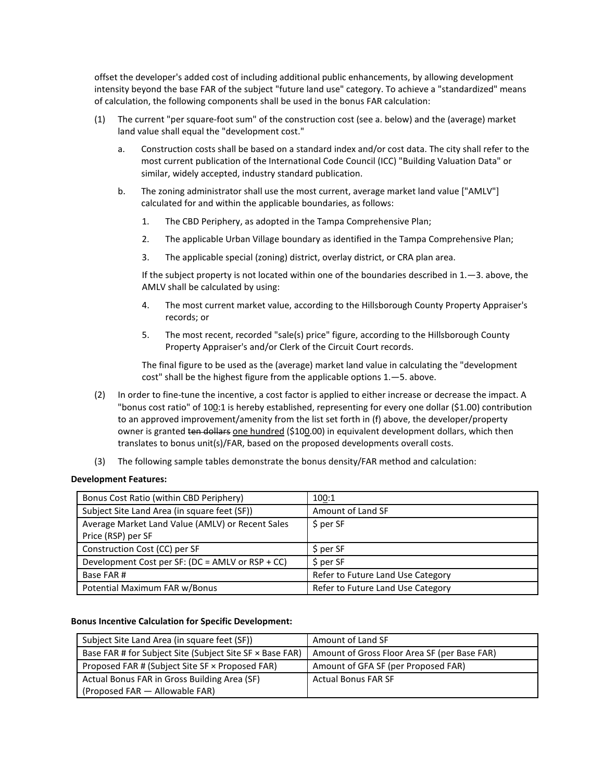offset the developer's added cost of including additional public enhancements, by allowing development intensity beyond the base FAR of the subject "future land use" category. To achieve a "standardized" means of calculation, the following components shall be used in the bonus FAR calculation:

- (1) The current "per square-foot sum" of the construction cost (see a. below) and the (average) market land value shall equal the "development cost."
	- a. Construction costs shall be based on a standard index and/or cost data. The city shall refer to the most current publication of the International Code Council (ICC) "Building Valuation Data" or similar, widely accepted, industry standard publication.
	- b. The zoning administrator shall use the most current, average market land value ["AMLV"] calculated for and within the applicable boundaries, as follows:
		- 1. The CBD Periphery, as adopted in the Tampa Comprehensive Plan;
		- 2. The applicable Urban Village boundary as identified in the Tampa Comprehensive Plan;
		- 3. The applicable special (zoning) district, overlay district, or CRA plan area.

If the subject property is not located within one of the boundaries described in 1.—3. above, the AMLV shall be calculated by using:

- 4. The most current market value, according to the Hillsborough County Property Appraiser's records; or
- 5. The most recent, recorded "sale(s) price" figure, according to the Hillsborough County Property Appraiser's and/or Clerk of the Circuit Court records.

The final figure to be used as the (average) market land value in calculating the "development cost" shall be the highest figure from the applicable options 1.—5. above.

- (2) In order to fine-tune the incentive, a cost factor is applied to either increase or decrease the impact. A "bonus cost ratio" of 100:1 is hereby established, representing for every one dollar (\$1.00) contribution to an approved improvement/amenity from the list set forth in (f) above, the developer/property owner is granted ten dollars one hundred (\$100.00) in equivalent development dollars, which then translates to bonus unit(s)/FAR, based on the proposed developments overall costs.
- (3) The following sample tables demonstrate the bonus density/FAR method and calculation:

#### **Development Features:**

| Bonus Cost Ratio (within CBD Periphery)          | 100:1                             |  |
|--------------------------------------------------|-----------------------------------|--|
| Subject Site Land Area (in square feet (SF))     | Amount of Land SF                 |  |
| Average Market Land Value (AMLV) or Recent Sales | $$$ per SF                        |  |
| Price (RSP) per SF                               |                                   |  |
| Construction Cost (CC) per SF                    | $S$ per SF                        |  |
| Development Cost per SF: (DC = AMLV or RSP + CC) | $$$ per SF                        |  |
| Base FAR#                                        | Refer to Future Land Use Category |  |
| Potential Maximum FAR w/Bonus                    | Refer to Future Land Use Category |  |

#### **Bonus Incentive Calculation for Specific Development:**

| Subject Site Land Area (in square feet (SF))             | Amount of Land SF                            |  |
|----------------------------------------------------------|----------------------------------------------|--|
| Base FAR # for Subject Site (Subject Site SF × Base FAR) | Amount of Gross Floor Area SF (per Base FAR) |  |
| Proposed FAR # (Subject Site SF × Proposed FAR)          | Amount of GFA SF (per Proposed FAR)          |  |
| Actual Bonus FAR in Gross Building Area (SF)             | <b>Actual Bonus FAR SF</b>                   |  |
| (Proposed FAR - Allowable FAR)                           |                                              |  |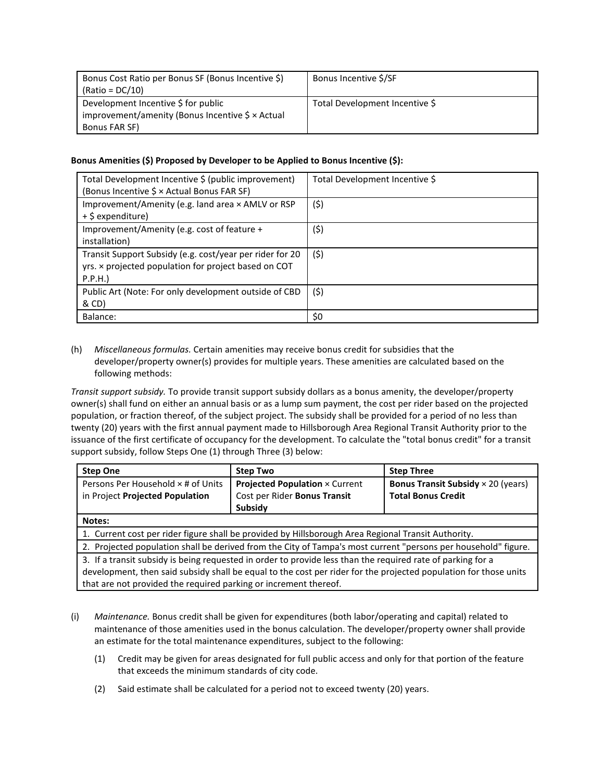| Bonus Cost Ratio per Bonus SF (Bonus Incentive \$)<br>$(Ratio = DC/10)$ | Bonus Incentive \$/SF          |
|-------------------------------------------------------------------------|--------------------------------|
| Development Incentive \$ for public                                     | Total Development Incentive \$ |
| improvement/amenity (Bonus Incentive $\frac{1}{2} \times$ Actual        |                                |
| Bonus FAR SF)                                                           |                                |

### **Bonus Amenities (\$) Proposed by Developer to be Applied to Bonus Incentive (\$):**

| Total Development Incentive \$ (public improvement)<br>(Bonus Incentive \$ × Actual Bonus FAR SF)                          | Total Development Incentive \$ |
|----------------------------------------------------------------------------------------------------------------------------|--------------------------------|
| Improvement/Amenity (e.g. land area × AMLV or RSP<br>+ \$ expenditure)                                                     | (\$)                           |
| Improvement/Amenity (e.g. cost of feature +<br>installation)                                                               | (\$)                           |
| Transit Support Subsidy (e.g. cost/year per rider for 20<br>yrs. x projected population for project based on COT<br>P.P.H. | (5)                            |
| Public Art (Note: For only development outside of CBD<br>& CD)                                                             | (\$)                           |
| Balance:                                                                                                                   | \$0                            |

### (h) *Miscellaneous formulas.* Certain amenities may receive bonus credit for subsidies that the developer/property owner(s) provides for multiple years. These amenities are calculated based on the following methods:

*Transit support subsidy.* To provide transit support subsidy dollars as a bonus amenity, the developer/property owner(s) shall fund on either an annual basis or as a lump sum payment, the cost per rider based on the projected population, or fraction thereof, of the subject project. The subsidy shall be provided for a period of no less than twenty (20) years with the first annual payment made to Hillsborough Area Regional Transit Authority prior to the issuance of the first certificate of occupancy for the development. To calculate the "total bonus credit" for a transit support subsidy, follow Steps One (1) through Three (3) below:

| <b>Step One</b>                                                                                                                                                                                                                                                                                     | <b>Step Two</b>                                                                  | <b>Step Three</b>                                                             |  |  |
|-----------------------------------------------------------------------------------------------------------------------------------------------------------------------------------------------------------------------------------------------------------------------------------------------------|----------------------------------------------------------------------------------|-------------------------------------------------------------------------------|--|--|
| Persons Per Household × # of Units<br>in Project Projected Population                                                                                                                                                                                                                               | <b>Projected Population × Current</b><br>Cost per Rider Bonus Transit<br>Subsidy | <b>Bonus Transit Subsidy</b> $\times$ 20 (years)<br><b>Total Bonus Credit</b> |  |  |
| Notes:                                                                                                                                                                                                                                                                                              |                                                                                  |                                                                               |  |  |
| 1. Current cost per rider figure shall be provided by Hillsborough Area Regional Transit Authority.                                                                                                                                                                                                 |                                                                                  |                                                                               |  |  |
| 2. Projected population shall be derived from the City of Tampa's most current "persons per household" figure.                                                                                                                                                                                      |                                                                                  |                                                                               |  |  |
| 3. If a transit subsidy is being requested in order to provide less than the required rate of parking for a<br>development, then said subsidy shall be equal to the cost per rider for the projected population for those units<br>that are not provided the required parking or increment thereof. |                                                                                  |                                                                               |  |  |

- (i) *Maintenance.* Bonus credit shall be given for expenditures (both labor/operating and capital) related to maintenance of those amenities used in the bonus calculation. The developer/property owner shall provide an estimate for the total maintenance expenditures, subject to the following:
	- (1) Credit may be given for areas designated for full public access and only for that portion of the feature that exceeds the minimum standards of city code.
	- (2) Said estimate shall be calculated for a period not to exceed twenty (20) years.